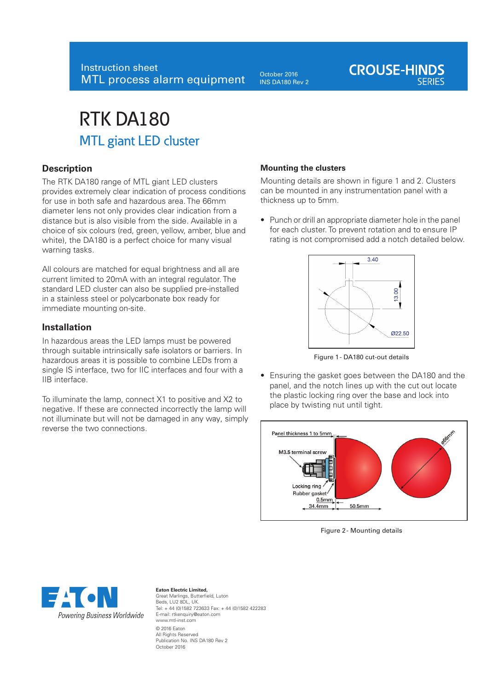October 2016 INS DA180 Rev 2



# RTK DA180 MTL giant LED cluster

## **Description**

The RTK DA180 range of MTL giant LED clusters provides extremely clear indication of process conditions for use in both safe and hazardous area. The 66mm diameter lens not only provides clear indication from a distance but is also visible from the side. Available in a choice of six colours (red, green, yellow, amber, blue and white), the DA180 is a perfect choice for many visual warning tasks.

All colours are matched for equal brightness and all are current limited to 20mA with an integral regulator. The standard LED cluster can also be supplied pre-installed in a stainless steel or polycarbonate box ready for immediate mounting on-site.

### **Installation**

In hazardous areas the LED lamps must be powered through suitable intrinsically safe isolators or barriers. In hazardous areas it is possible to combine LEDs from a single IS interface, two for IIC interfaces and four with a IIB interface.

To illuminate the lamp, connect X1 to positive and X2 to negative. If these are connected incorrectly the lamp will not illuminate but will not be damaged in any way, simply reverse the two connections.

### **Mounting the clusters**

Mounting details are shown in figure 1 and 2. Clusters can be mounted in any instrumentation panel with a thickness up to 5mm.

• Punch or drill an appropriate diameter hole in the panel for each cluster. To prevent rotation and to ensure IP rating is not compromised add a notch detailed below.



Figure 1 - DA180 cut-out details

• Ensuring the gasket goes between the DA180 and the panel, and the notch lines up with the cut out locate the plastic locking ring over the base and lock into place by twisting nut until tight.



Figure 2 - Mounting details



#### **Eaton Electric Limited,**  Great Marlings, Butterfield, Luton Beds, LU2 8DL, UK. Tel: + 44 (0)1582 723633 Fax: + 44 (0)1582 422283 E-mail: rtkenquiry@eaton.com www.mtl-inst.com © 2016 Eaton All Rights Reserved Publication No. INS DA180 Rev 2 October 2016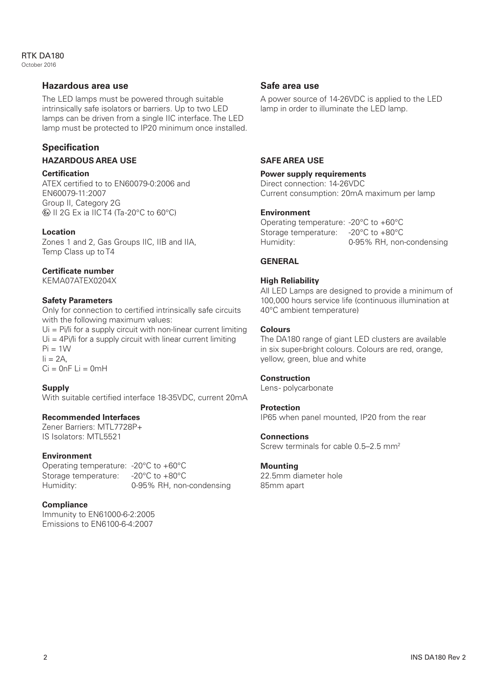### **RTK DA180**

October 2016

### **Hazardous area use**

The LED lamps must be powered through suitable intrinsically safe isolators or barriers. Up to two LED lamps can be driven from a single IIC interface. The LED lamp must be protected to IP20 minimum once installed.

### **Specification**

### **HAZARDOUS AREA USE**

#### **Certification**

ATEX certified to to EN60079-0:2006 and EN60079-11:2007 Group II, Category 2G  $\overline{\text{6}}$ II 2G Ex ia IIC T4 (Ta-20 $^{\circ}$ C to 60 $^{\circ}$ C)

### **Location**

Zones 1 and 2, Gas Groups IIC, IIB and IIA, Temp Class up to T4

### **Certificate number**

KEMA07ATEX0204X

### **Safety Parameters**

Only for connection to certified intrinsically safe circuits with the following maximum values:  $U = P1/I$  for a supply circuit with non-linear current limiting  $Ui = 4Pi/li$  for a supply circuit with linear current limiting  $Pi = 1$  M  $I = 2A$  $Ci = 0nF$   $I = 0mH$ 

**Supply** With suitable certified interface 18-35VDC, current 20mA

## **Recommended Interfaces**

Zener Barriers: MTL7728P+ IS Isolators: MTL5521

### **Environment**

Operating temperature: -20°C to +60°C Storage temperature: -20°C to +80°C Humidity: 0-95% RH, non-condensing

### **Compliance**

Immunity to EN61000-6-2:2005 Emissions to EN6100-6-4:2007

### **Safe area use**

A power source of 14-26VDC is applied to the LED lamp in order to illuminate the LED lamp.

### **SAFE AREA USE**

### **Power supply requirements**

Direct connection: 14-26VDC Current consumption: 20mA maximum per lamp

### **Environment**

Operating temperature: -20°C to +60°C Storage temperature: -20°C to +80°C<br>Humidity: 0-95% RH, non 0-95% RH, non-condensing

### **GENERAL**

#### **High Reliability**

All LED Lamps are designed to provide a minimum of 100,000 hours service life (continuous illumination at 40°C ambient temperature)

#### **Colours**

The DA180 range of giant LED clusters are available in six super-bright colours. Colours are red, orange, yellow, green, blue and white

#### **Construction**

Lens- polycarbonate

#### **Protection**

IP65 when panel mounted, IP20 from the rear

### **Connections**

Screw terminals for cable 0.5–2.5 mm2

### **Mounting**

22.5mm diameter hole 85mm apart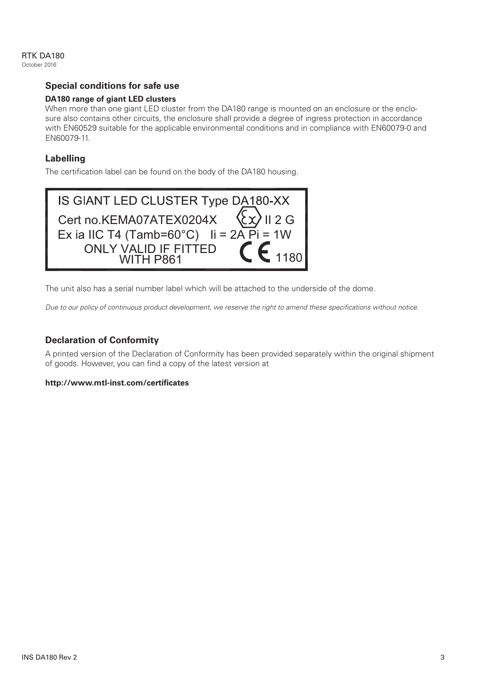# **Special conditions for safe use**

### **DA180 range of giant LED clusters**

When more than one giant LED cluster from the DA180 range is mounted on an enclosure or the enclosure also contains other circuits, the enclosure shall provide a degree of ingress protection in accordance with EN60529 suitable for the applicable environmental conditions and in compliance with EN60079-0 and EN60079-11.

# **Labelling**

The certification label can be found on the body of the DA180 housing.

| IS GIANT LED CLUSTER Type DA180-XX                     |
|--------------------------------------------------------|
| Cert no.KEMA07ATEX0204X $\langle x \rangle$    2 G     |
| Ex ia IIC T4 (Tamb=60°C) li = $2\overline{AP}$ i = 1W  |
| ONLY VALID IF FITTED<br>$C_{1180}$<br><b>WITH P861</b> |

The unit also has a serial number label which will be attached to the underside of the dome.

*Due to our policy of continuous product development, we reserve the right to amend these specifications without notice.*

# **Declaration of Conformity**

A printed version of the Declaration of Conformity has been provided separately within the original shipment of goods. However, you can find a copy of the latest version at

**http://www.mtl-inst.com/certificates**